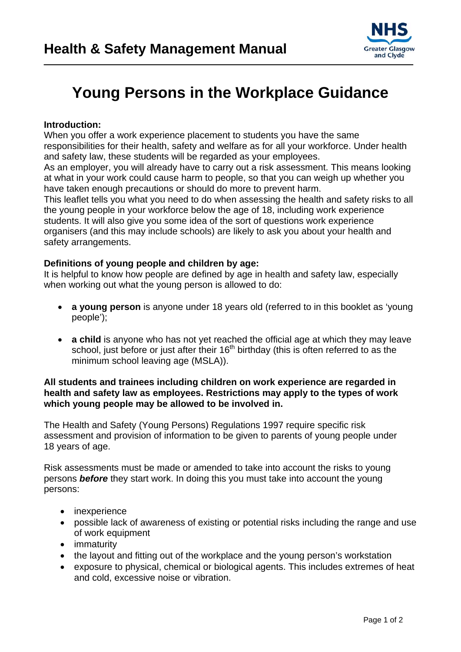

# **Young Persons in the Workplace Guidance**

## **Introduction:**

When you offer a work experience placement to students you have the same responsibilities for their health, safety and welfare as for all your workforce. Under health and safety law, these students will be regarded as your employees.

As an employer, you will already have to carry out a risk assessment. This means looking at what in your work could cause harm to people, so that you can weigh up whether you have taken enough precautions or should do more to prevent harm.

This leaflet tells you what you need to do when assessing the health and safety risks to all the young people in your workforce below the age of 18, including work experience students. It will also give you some idea of the sort of questions work experience organisers (and this may include schools) are likely to ask you about your health and safety arrangements.

### **Definitions of young people and children by age:**

It is helpful to know how people are defined by age in health and safety law, especially when working out what the young person is allowed to do:

- **a young person** is anyone under 18 years old (referred to in this booklet as 'young people');
- **a child** is anyone who has not yet reached the official age at which they may leave school, just before or just after their  $16<sup>th</sup>$  birthday (this is often referred to as the minimum school leaving age (MSLA)).

### **All students and trainees including children on work experience are regarded in health and safety law as employees. Restrictions may apply to the types of work which young people may be allowed to be involved in.**

The Health and Safety (Young Persons) Regulations 1997 require specific risk assessment and provision of information to be given to parents of young people under 18 years of age.

Risk assessments must be made or amended to take into account the risks to young persons *before* they start work. In doing this you must take into account the young persons:

- inexperience
- possible lack of awareness of existing or potential risks including the range and use of work equipment
- immaturity
- the layout and fitting out of the workplace and the young person's workstation
- exposure to physical, chemical or biological agents. This includes extremes of heat and cold, excessive noise or vibration.